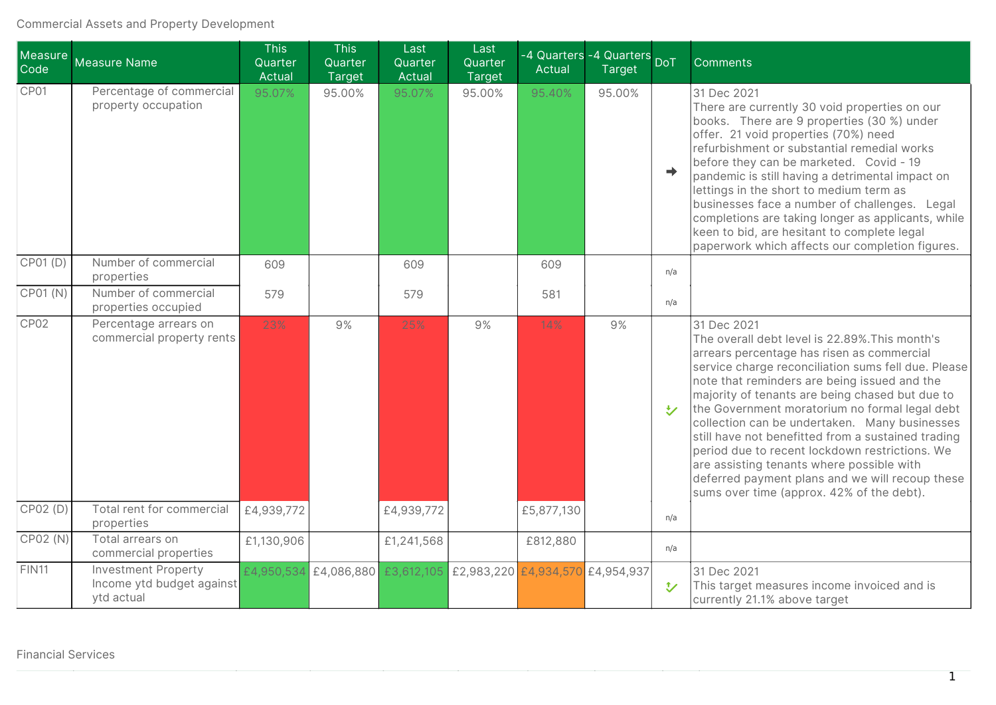## Commercial Assets and Property Development

| Measure<br>Code  | Measure Name                                                          | <b>This</b><br>Quarter<br><b>Actual</b> | <b>This</b><br>Quarter<br>Target | Last<br>Quarter<br>Actual | Last<br>Quarter<br>Target | -4 Quarters<br>Actual                                  | -4 Quarters <sub>DoT</sub><br>Target |               | <b>Comments</b>                                                                                                                                                                                                                                                                                                                                                                                                                                                                                                                                                                                                               |
|------------------|-----------------------------------------------------------------------|-----------------------------------------|----------------------------------|---------------------------|---------------------------|--------------------------------------------------------|--------------------------------------|---------------|-------------------------------------------------------------------------------------------------------------------------------------------------------------------------------------------------------------------------------------------------------------------------------------------------------------------------------------------------------------------------------------------------------------------------------------------------------------------------------------------------------------------------------------------------------------------------------------------------------------------------------|
| CP01             | Percentage of commercial<br>property occupation                       | 95.07%                                  | 95.00%                           | 95.07%                    | 95.00%                    | 95.40%                                                 | 95.00%                               | $\Rightarrow$ | 31 Dec 2021<br>There are currently 30 void properties on our<br>books. There are 9 properties (30 %) under<br>offer. 21 void properties (70%) need<br>refurbishment or substantial remedial works<br>before they can be marketed. Covid - 19<br>pandemic is still having a detrimental impact on<br>lettings in the short to medium term as<br>businesses face a number of challenges. Legal<br>completions are taking longer as applicants, while<br>keen to bid, are hesitant to complete legal<br>paperwork which affects our completion figures.                                                                          |
| CP01 (D)         | Number of commercial<br>properties                                    | 609                                     |                                  | 609                       |                           | 609                                                    |                                      | n/a           |                                                                                                                                                                                                                                                                                                                                                                                                                                                                                                                                                                                                                               |
| CPO1(N)          | Number of commercial<br>properties occupied                           | 579                                     |                                  | 579                       |                           | 581                                                    |                                      | n/a           |                                                                                                                                                                                                                                                                                                                                                                                                                                                                                                                                                                                                                               |
| CP <sub>02</sub> | Percentage arrears on<br>commercial property rents                    | 23%                                     | 9%                               | 25%                       | 9%                        | 14%                                                    | 9%                                   | <b>シ</b>      | 31 Dec 2021<br>The overall debt level is 22.89%. This month's<br>arrears percentage has risen as commercial<br>service charge reconciliation sums fell due. Please<br>note that reminders are being issued and the<br>majority of tenants are being chased but due to<br>the Government moratorium no formal legal debt<br>collection can be undertaken. Many businesses<br>still have not benefitted from a sustained trading<br>period due to recent lockdown restrictions. We<br>are assisting tenants where possible with<br>deferred payment plans and we will recoup these<br>sums over time (approx. 42% of the debt). |
| CP02 (D)         | Total rent for commercial<br>properties                               | £4,939,772                              |                                  | £4,939,772                |                           | £5,877,130                                             |                                      | n/a           |                                                                                                                                                                                                                                                                                                                                                                                                                                                                                                                                                                                                                               |
| CP02 (N)         | Total arrears on<br>commercial properties                             | £1,130,906                              |                                  | £1,241,568                |                           | £812,880                                               |                                      | n/a           |                                                                                                                                                                                                                                                                                                                                                                                                                                                                                                                                                                                                                               |
| <b>FIN11</b>     | <b>Investment Property</b><br>Income ytd budget against<br>ytd actual | £4,950,534                              |                                  |                           |                           | £4,086,880 £3,612,105 £2,983,220 £4,934,570 £4,954,937 |                                      | $\mathbf{t}$  | 31 Dec 2021<br>This target measures income invoiced and is<br>currently 21.1% above target                                                                                                                                                                                                                                                                                                                                                                                                                                                                                                                                    |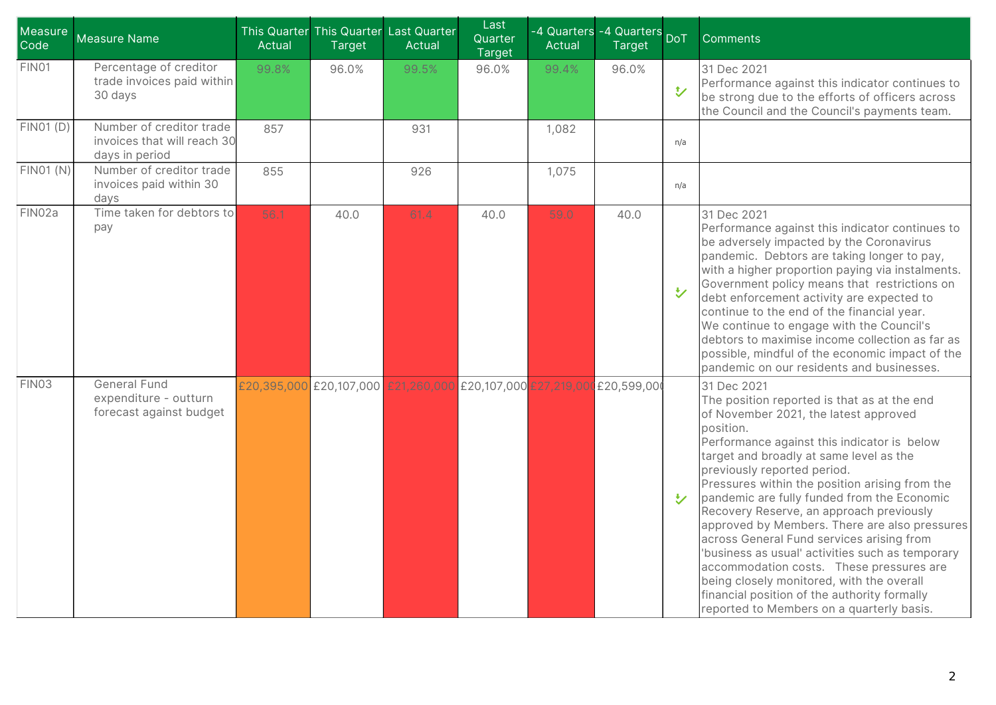| Measure<br>Code  | <b>Measure Name</b>                                                       | Actual | This Quarter This Quarter Last Quarter<br><b>Target</b>                 | Actual | Last<br>Quarter<br><b>Target</b> | Actual | -4 Quarters -4 Quarters DoT<br><b>Target</b> |                         | <b>Comments</b>                                                                                                                                                                                                                                                                                                                                                                                                                                                                                                                                                                                                                                                                                                                |
|------------------|---------------------------------------------------------------------------|--------|-------------------------------------------------------------------------|--------|----------------------------------|--------|----------------------------------------------|-------------------------|--------------------------------------------------------------------------------------------------------------------------------------------------------------------------------------------------------------------------------------------------------------------------------------------------------------------------------------------------------------------------------------------------------------------------------------------------------------------------------------------------------------------------------------------------------------------------------------------------------------------------------------------------------------------------------------------------------------------------------|
| FIN01            | Percentage of creditor<br>trade invoices paid within<br>30 days           | 99.8%  | 96.0%                                                                   | 99.5%  | 96.0%                            | 99.4%  | 96.0%                                        | $\overline{v}$          | 31 Dec 2021<br>Performance against this indicator continues to<br>be strong due to the efforts of officers across<br>the Council and the Council's payments team.                                                                                                                                                                                                                                                                                                                                                                                                                                                                                                                                                              |
| FINO1(D)         | Number of creditor trade<br>invoices that will reach 30<br>days in period | 857    |                                                                         | 931    |                                  | 1,082  |                                              | n/a                     |                                                                                                                                                                                                                                                                                                                                                                                                                                                                                                                                                                                                                                                                                                                                |
| <b>FIN01 (N)</b> | Number of creditor trade<br>invoices paid within 30<br>days               | 855    |                                                                         | 926    |                                  | 1,075  |                                              | n/a                     |                                                                                                                                                                                                                                                                                                                                                                                                                                                                                                                                                                                                                                                                                                                                |
| FIN02a           | Time taken for debtors to<br>pay                                          | 56.1   | 40.0                                                                    | 61.4   | 40.0                             | 59.0   | 40.0                                         | $\overline{\mathbf{v}}$ | 31 Dec 2021<br>Performance against this indicator continues to<br>be adversely impacted by the Coronavirus<br>pandemic. Debtors are taking longer to pay,<br>with a higher proportion paying via instalments.<br>Government policy means that restrictions on<br>debt enforcement activity are expected to<br>continue to the end of the financial year.<br>We continue to engage with the Council's<br>debtors to maximise income collection as far as<br>possible, mindful of the economic impact of the<br>pandemic on our residents and businesses.                                                                                                                                                                        |
| FIN03            | <b>General Fund</b><br>expenditure - outturn<br>forecast against budget   |        | £20,395,000 £20,107,000 £21,260,000 £20,107,000 £27,219,000 £20,599,000 |        |                                  |        |                                              | <b>M</b>                | 31 Dec 2021<br>The position reported is that as at the end<br>of November 2021, the latest approved<br>position.<br>Performance against this indicator is below<br>target and broadly at same level as the<br>previously reported period.<br>Pressures within the position arising from the<br>pandemic are fully funded from the Economic<br>Recovery Reserve, an approach previously<br>approved by Members. There are also pressures<br>across General Fund services arising from<br>'business as usual' activities such as temporary<br>accommodation costs. These pressures are<br>being closely monitored, with the overall<br>financial position of the authority formally<br>reported to Members on a quarterly basis. |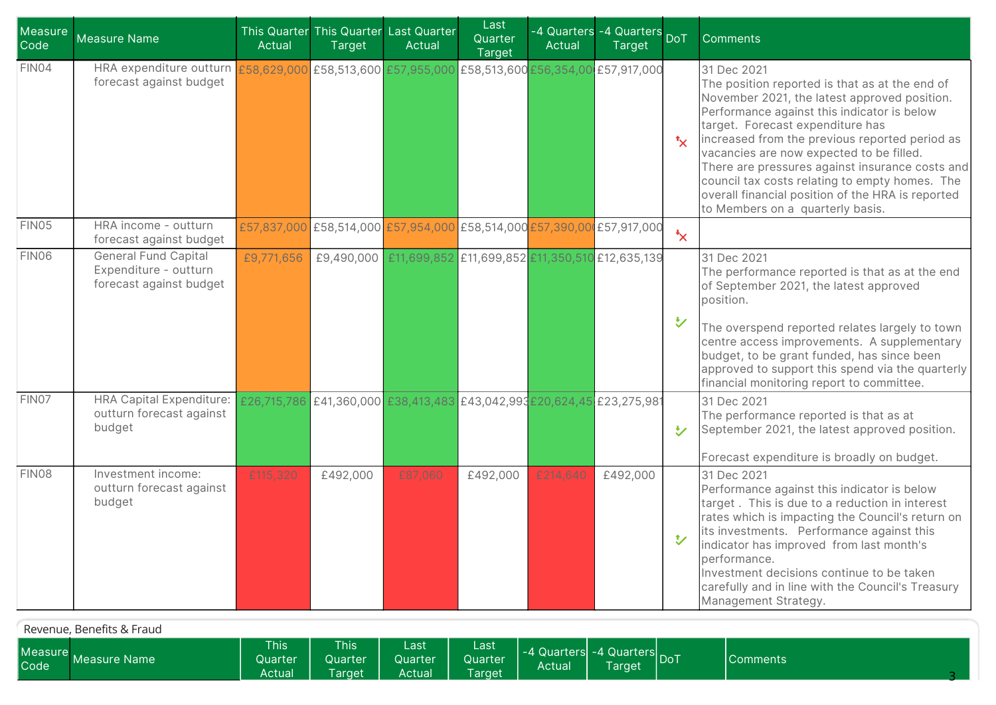| Measure<br>Code | <b>Measure Name</b>                                                                                                       | Actual     | <b>Target</b> | This Quarter This Quarter Last Quarter<br>Actual                        | Last<br>Quarter<br>Target | Actual   | -4 Quarters -4 Quarters DoT<br><b>Target</b> |                           | <b>Comments</b>                                                                                                                                                                                                                                                                                                                                                                                                                                                                              |
|-----------------|---------------------------------------------------------------------------------------------------------------------------|------------|---------------|-------------------------------------------------------------------------|---------------------------|----------|----------------------------------------------|---------------------------|----------------------------------------------------------------------------------------------------------------------------------------------------------------------------------------------------------------------------------------------------------------------------------------------------------------------------------------------------------------------------------------------------------------------------------------------------------------------------------------------|
| FIN04           | HRA expenditure outturn £58,629,000 £58,513,600 £57,955,000 £58,513,600 £56,354,00 £57,917,000<br>forecast against budget |            |               |                                                                         |                           |          |                                              | $\mathbf{t}_{\mathsf{X}}$ | 31 Dec 2021<br>The position reported is that as at the end of<br>November 2021, the latest approved position.<br>Performance against this indicator is below<br>target. Forecast expenditure has<br>increased from the previous reported period as<br>vacancies are now expected to be filled.<br>There are pressures against insurance costs and<br>council tax costs relating to empty homes. The<br>overall financial position of the HRA is reported<br>to Members on a quarterly basis. |
| FIN05           | HRA income - outturn<br>forecast against budget                                                                           |            |               | £57,837,000 £58,514,000 £57,954,000 £58,514,000 £57,390,000 £57,917,000 |                           |          |                                              | $\star$                   |                                                                                                                                                                                                                                                                                                                                                                                                                                                                                              |
| FIN06           | <b>General Fund Capital</b><br>Expenditure - outturn<br>forecast against budget                                           | £9,771,656 |               | £9,490,000 £11,699,852 £11,699,852 £11,350,510 £12,635,139              |                           |          |                                              | $\bigcup$                 | 31 Dec 2021<br>The performance reported is that as at the end<br>of September 2021, the latest approved<br>position.<br>The overspend reported relates largely to town<br>centre access improvements. A supplementary<br>budget, to be grant funded, has since been<br>approved to support this spend via the quarterly<br>financial monitoring report to committee.                                                                                                                         |
| FIN07           | <b>HRA Capital Expenditure:</b><br>outturn forecast against<br>budget                                                     |            |               | £26,715,786 £41,360,000 £38,413,483 £43,042,993 £20,624,45 £23,275,981  |                           |          |                                              | ゼ                         | 31 Dec 2021<br>The performance reported is that as at<br>September 2021, the latest approved position.<br>Forecast expenditure is broadly on budget.                                                                                                                                                                                                                                                                                                                                         |
| FIN08           | Investment income:<br>outturn forecast against<br>budget                                                                  | £115,320   | £492,000      | £87,060                                                                 | £492,000                  | £214,640 | £492,000                                     | $\mathbf{v}$              | 31 Dec 2021<br>Performance against this indicator is below<br>target. This is due to a reduction in interest<br>rates which is impacting the Council's return on<br>its investments. Performance against this<br>indicator has improved from last month's<br>performance.<br>Investment decisions continue to be taken<br>carefully and in line with the Council's Treasury<br>Management Strategy.                                                                                          |

| Revenue, Benefits & Fraud     |              |                                  |                                  |                           |                                         |                                       |        |  |                 |  |
|-------------------------------|--------------|----------------------------------|----------------------------------|---------------------------|-----------------------------------------|---------------------------------------|--------|--|-----------------|--|
| <b>Measure</b><br><b>Code</b> | Measure Name | <b>This</b><br>Quarter<br>Actual | <b>This</b><br>Quarter<br>Taraet | Last<br>Quarter<br>Actual | Last<br><b>Quarter</b><br><b>Target</b> | -4 Quarters -4 Quarters DoT<br>Actual | Tarqet |  | <b>Comments</b> |  |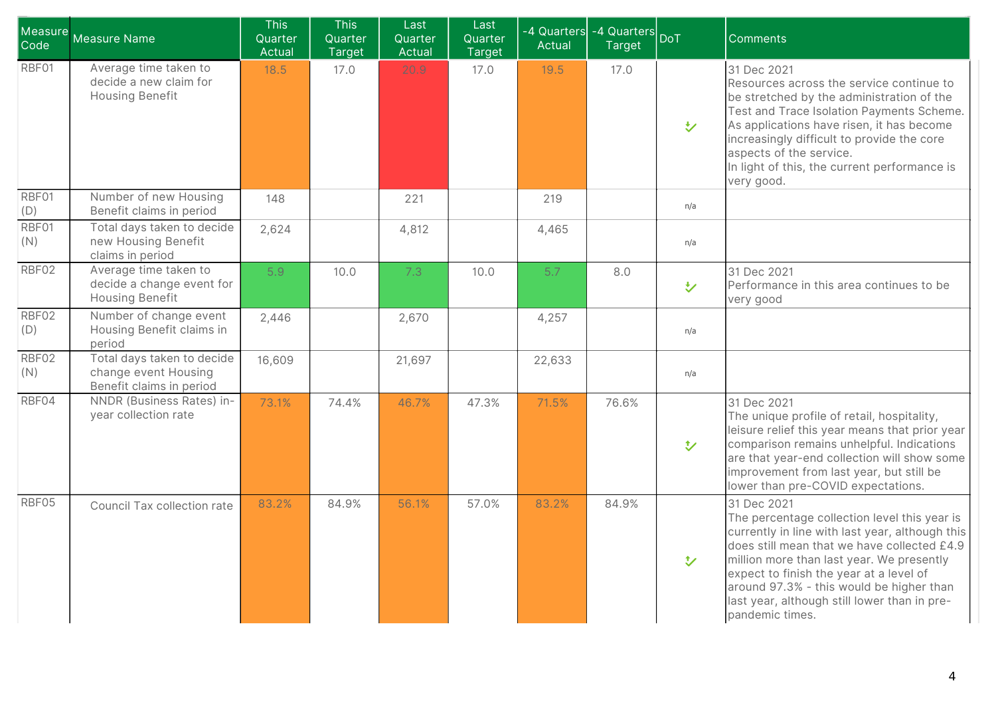| Measure<br>Code | <b>Measure Name</b>                                                            | <b>This</b><br>Quarter<br>Actual | <b>This</b><br>Quarter<br>Target | Last<br>Quarter<br>Actual | Last<br>Quarter<br>Target | -4 Quarters<br>Actual | -4 Quarters<br><b>Target</b> | <b>DoT</b>         | <b>Comments</b>                                                                                                                                                                                                                                                                                                                                                      |
|-----------------|--------------------------------------------------------------------------------|----------------------------------|----------------------------------|---------------------------|---------------------------|-----------------------|------------------------------|--------------------|----------------------------------------------------------------------------------------------------------------------------------------------------------------------------------------------------------------------------------------------------------------------------------------------------------------------------------------------------------------------|
| RBF01           | Average time taken to<br>decide a new claim for<br><b>Housing Benefit</b>      | 18.5                             | 17.0                             | 20.9                      | 17.0                      | 19.5                  | 17.0                         | $\bigvee$          | 31 Dec 2021<br>Resources across the service continue to<br>be stretched by the administration of the<br>Test and Trace Isolation Payments Scheme.<br>As applications have risen, it has become<br>increasingly difficult to provide the core<br>aspects of the service.<br>In light of this, the current performance is<br>very good.                                |
| RBF01<br>(D)    | Number of new Housing<br>Benefit claims in period                              | 148                              |                                  | 221                       |                           | 219                   |                              | n/a                |                                                                                                                                                                                                                                                                                                                                                                      |
| RBF01<br>(N)    | Total days taken to decide<br>new Housing Benefit<br>claims in period          | 2,624                            |                                  | 4,812                     |                           | 4,465                 |                              | n/a                |                                                                                                                                                                                                                                                                                                                                                                      |
| RBF02           | Average time taken to<br>decide a change event for<br>Housing Benefit          | 5.9                              | 10.0                             | 7.3                       | 10.0                      | 5.7                   | 8.0                          | $\bigtriangledown$ | 31 Dec 2021<br>Performance in this area continues to be<br>very good                                                                                                                                                                                                                                                                                                 |
| RBF02<br>(D)    | Number of change event<br>Housing Benefit claims in<br>period                  | 2,446                            |                                  | 2,670                     |                           | 4,257                 |                              | n/a                |                                                                                                                                                                                                                                                                                                                                                                      |
| RBF02<br>(N)    | Total days taken to decide<br>change event Housing<br>Benefit claims in period | 16,609                           |                                  | 21,697                    |                           | 22,633                |                              | n/a                |                                                                                                                                                                                                                                                                                                                                                                      |
| RBF04           | NNDR (Business Rates) in-<br>year collection rate                              | 73.1%                            | 74.4%                            | 46.7%                     | 47.3%                     | 71.5%                 | 76.6%                        | $\mathbf{v}$       | 31 Dec 2021<br>The unique profile of retail, hospitality,<br>leisure relief this year means that prior year<br>comparison remains unhelpful. Indications<br>are that year-end collection will show some<br>improvement from last year, but still be<br>lower than pre-COVID expectations.                                                                            |
| RBF05           | Council Tax collection rate                                                    | 83.2%                            | 84.9%                            | 56.1%                     | 57.0%                     | 83.2%                 | 84.9%                        | $\mathbf{v}$       | 31 Dec 2021<br>The percentage collection level this year is<br>currently in line with last year, although this<br>does still mean that we have collected £4.9<br>million more than last year. We presently<br>expect to finish the year at a level of<br>around 97.3% - this would be higher than<br>last year, although still lower than in pre-<br>pandemic times. |